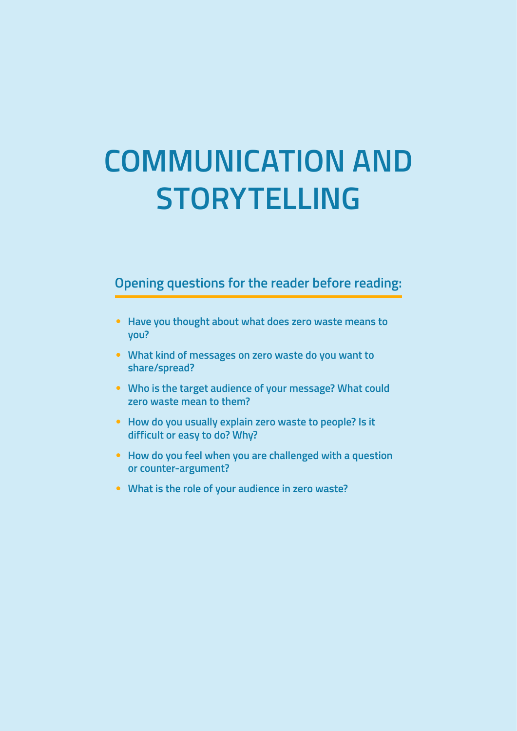# **COMMUNICATION AND STORYTELLING**

## **Opening questions for the reader before reading:**

- **Have you thought about what does zero waste means to you?**
- **What kind of messages on zero waste do you want to share/spread?**
- **Who is the target audience of your message? What could zero waste mean to them?**
- **How do you usually explain zero waste to people? Is it difficult or easy to do? Why?**
- **How do you feel when you are challenged with a question or counter-argument?**
- **What is the role of your audience in zero waste?**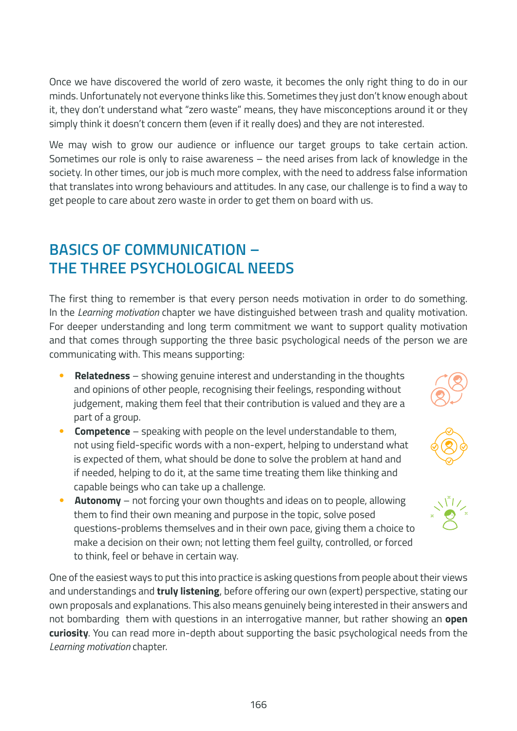Once we have discovered the world of zero waste, it becomes the only right thing to do in our minds. Unfortunately not everyone thinks like this. Sometimes they just don't know enough about it, they don't understand what "zero waste" means, they have misconceptions around it or they simply think it doesn't concern them (even if it really does) and they are not interested.

We may wish to grow our audience or influence our target groups to take certain action. Sometimes our role is only to raise awareness – the need arises from lack of knowledge in the society. In other times, our job is much more complex, with the need to address false information that translates into wrong behaviours and attitudes. In any case, our challenge is to find a way to get people to care about zero waste in order to get them on board with us.

## **BASICS OF COMMUNICATION – THE THREE PSYCHOLOGICAL NEEDS**

The first thing to remember is that every person needs motivation in order to do something. In the *Learning motivation* chapter we have distinguished between trash and quality motivation. For deeper understanding and long term commitment we want to support quality motivation and that comes through supporting the three basic psychological needs of the person we are communicating with. This means supporting:

- **Relatedness** showing genuine interest and understanding in the thoughts and opinions of other people, recognising their feelings, responding without judgement, making them feel that their contribution is valued and they are a part of a group.
- **Competence** speaking with people on the level understandable to them, not using field-specific words with a non-expert, helping to understand what is expected of them, what should be done to solve the problem at hand and if needed, helping to do it, at the same time treating them like thinking and capable beings who can take up a challenge.
- **Autonomy** not forcing your own thoughts and ideas on to people, allowing them to find their own meaning and purpose in the topic, solve posed questions-problems themselves and in their own pace, giving them a choice to make a decision on their own; not letting them feel guilty, controlled, or forced to think, feel or behave in certain way.

One of the easiest ways to put this into practice is asking questions from people about their views and understandings and **truly listening**, before offering our own (expert) perspective, stating our own proposals and explanations. This also means genuinely being interested in their answers and not bombarding them with questions in an interrogative manner, but rather showing an **open curiosity**. You can read more in-depth about supporting the basic psychological needs from the *Learning motivation* chapter.



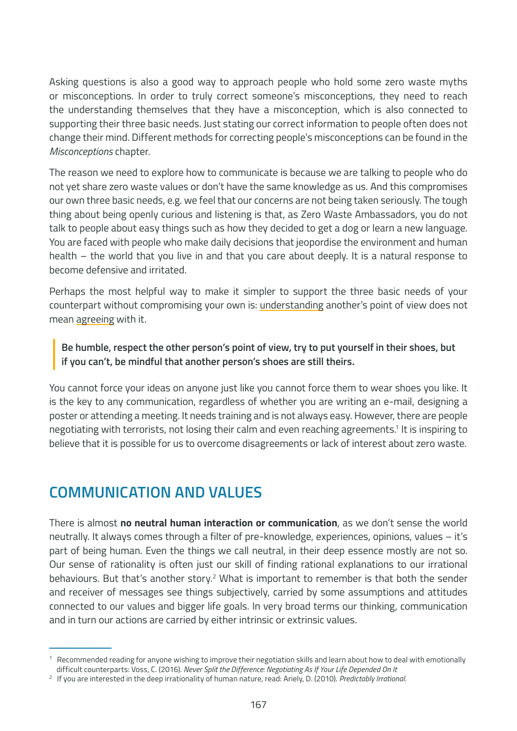Asking questions is also a good way to approach people who hold some zero waste myths or misconceptions. In order to truly correct someone's misconceptions, they need to reach the understanding themselves that they have a misconception, which is also connected to supporting their three basic needs. Just stating our correct information to people often does not change their mind. Different methods for correcting people's misconceptions can be found in the *Misconceptions* chapter.

The reason we need to explore how to communicate is because we are talking to people who do not yet share zero waste values or don't have the same knowledge as us. And this compromises our own three basic needs, e.g. we feel that our concerns are not being taken seriously. The tough thing about being openly curious and listening is that, as Zero Waste Ambassadors, you do not talk to people about easy things such as how they decided to get a dog or learn a new language. You are faced with people who make daily decisions that jeopordise the environment and human health – the world that you live in and that you care about deeply. It is a natural response to become defensive and irritated.

Perhaps the most helpful way to make it simpler to support the three basic needs of your counterpart without compromising your own is: understanding another's point of view does not mean agreeing with it.

#### **Be humble, respect the other person's point of view, try to put yourself in their shoes, but if you can't, be mindful that another person's shoes are still theirs.**

You cannot force your ideas on anyone just like you cannot force them to wear shoes you like. It is the key to any communication, regardless of whether you are writing an e-mail, designing a poster or attending a meeting. It needs training and is not always easy. However, there are people negotiating with terrorists, not losing their calm and even reaching agreements.1 It is inspiring to believe that it is possible for us to overcome disagreements or lack of interest about zero waste.

## **COMMUNICATION AND VALUES**

There is almost **no neutral human interaction or communication**, as we don't sense the world neutrally. It always comes through a filter of pre-knowledge, experiences, opinions, values – it's part of being human. Even the things we call neutral, in their deep essence mostly are not so. Our sense of rationality is often just our skill of finding rational explanations to our irrational behaviours. But that's another story.<sup>2</sup> What is important to remember is that both the sender and receiver of messages see things subjectively, carried by some assumptions and attitudes connected to our values and bigger life goals. In very broad terms our thinking, communication and in turn our actions are carried by either intrinsic or extrinsic values.

 $1$  Recommended reading for anyone wishing to improve their negotiation skills and learn about how to deal with emotionally difficult counterparts: Voss, C. (2016). *Never Split the Difference: Negotiating As If Your Life Depended On It*

<sup>2</sup> If you are interested in the deep irrationality of human nature, read: Ariely, D. (2010). *Predictably Irrational*.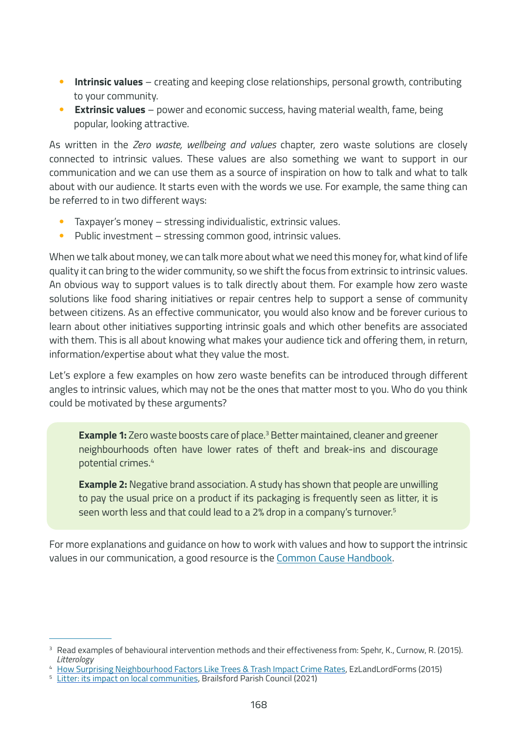- **Intrinsic values** creating and keeping close relationships, personal growth, contributing to your community.
- **Extrinsic values** power and economic success, having material wealth, fame, being popular, looking attractive.

As written in the *Zero waste, wellbeing and values* chapter, zero waste solutions are closely connected to intrinsic values. These values are also something we want to support in our communication and we can use them as a source of inspiration on how to talk and what to talk about with our audience. It starts even with the words we use. For example, the same thing can be referred to in two different ways:

- Taxpayer's money stressing individualistic, extrinsic values.
- Public investment stressing common good, intrinsic values.

When we talk about money, we can talk more about what we need this money for, what kind of life quality it can bring to the wider community, so we shift the focus from extrinsic to intrinsic values. An obvious way to support values is to talk directly about them. For example how zero waste solutions like food sharing initiatives or repair centres help to support a sense of community between citizens. As an effective communicator, you would also know and be forever curious to learn about other initiatives supporting intrinsic goals and which other benefits are associated with them. This is all about knowing what makes your audience tick and offering them, in return, information/expertise about what they value the most.

Let's explore a few examples on how zero waste benefits can be introduced through different angles to intrinsic values, which may not be the ones that matter most to you. Who do you think could be motivated by these arguments?

**Example 1:** Zero waste boosts care of place.<sup>3</sup> Better maintained, cleaner and greener neighbourhoods often have lower rates of theft and break-ins and discourage potential crimes.4

**Example 2:** Negative brand association. A study has shown that people are unwilling to pay the usual price on a product if its packaging is frequently seen as litter, it is seen worth less and that could lead to a 2% drop in a company's turnover.<sup>5</sup>

For more explanations and guidance on how to work with values and how to support the intrinsic values in our communication, a good resource is the [Common Cause Handbook.](http://www.commoncause.com.au/uploads/1/2/9/4/12943361/common_cause_handbook.pdf)

<sup>&</sup>lt;sup>3</sup> Read examples of behavioural intervention methods and their effectiveness from: Spehr, K., Curnow, R. (2015). *Litterology*

<sup>4</sup> [How Surprising Neighbourhood Factors Like Trees & Trash Impact Crime Rates,](https://articles.ezlandlordforms.com/general-property-management/how-surprising-neighborhood-factors-like-trees-and-trash-impact-crime-rates/) EzLandLordForms (2015)

[Litter: its impact on local communities](https://www.brailsfordandednastonpc.org.uk/news/2021/01/litter-its-impact-on-local-communities), Brailsford Parish Council (2021)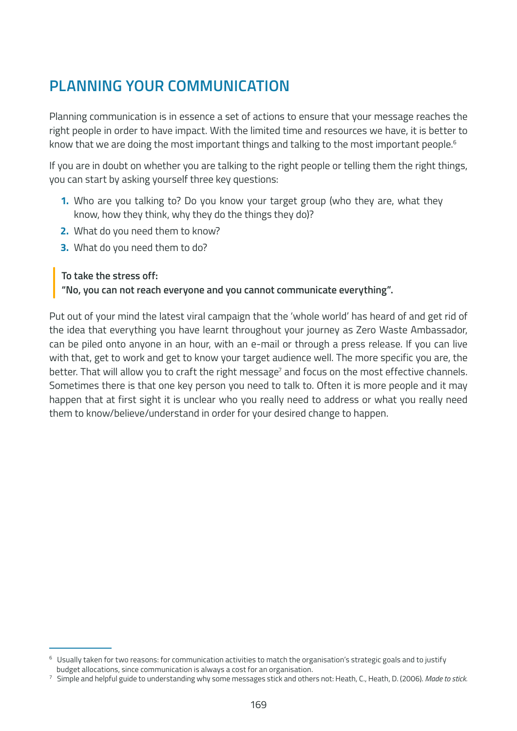## **PLANNING YOUR COMMUNICATION**

Planning communication is in essence a set of actions to ensure that your message reaches the right people in order to have impact. With the limited time and resources we have, it is better to know that we are doing the most important things and talking to the most important people.<sup>6</sup>

If you are in doubt on whether you are talking to the right people or telling them the right things, you can start by asking yourself three key questions:

- **1.** Who are you talking to? Do you know your target group (who they are, what they know, how they think, why they do the things they do)?
- **2.** What do you need them to know?
- **3.** What do you need them to do?

#### **To take the stress off:**

**"No, you can not reach everyone and you cannot communicate everything".**

Put out of your mind the latest viral campaign that the 'whole world' has heard of and get rid of the idea that everything you have learnt throughout your journey as Zero Waste Ambassador, can be piled onto anyone in an hour, with an e-mail or through a press release. If you can live with that, get to work and get to know your target audience well. The more specific you are, the better. That will allow you to craft the right message<sup>7</sup> and focus on the most effective channels. Sometimes there is that one key person you need to talk to. Often it is more people and it may happen that at first sight it is unclear who you really need to address or what you really need them to know/believe/understand in order for your desired change to happen.

<sup>6</sup> Usually taken for two reasons: for communication activities to match the organisation's strategic goals and to justify budget allocations, since communication is always a cost for an organisation.

<sup>7</sup> Simple and helpful guide to understanding why some messages stick and others not: Heath, C., Heath, D. (2006). *Made to stick.*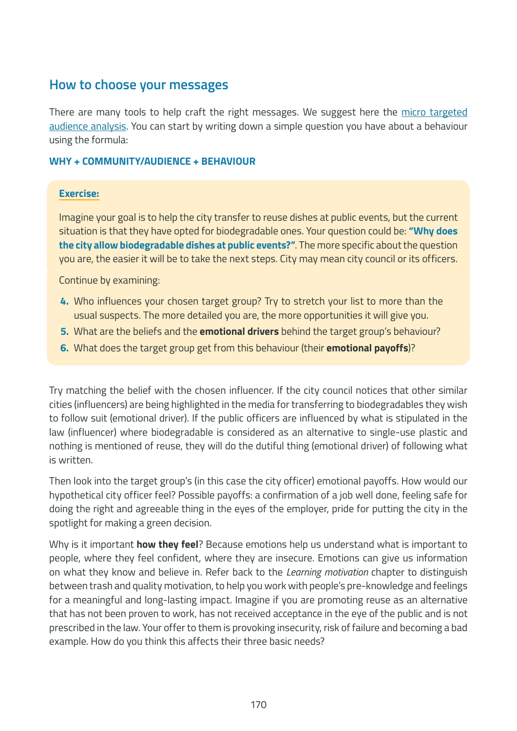#### **How to choose your messages**

There are many tools to help craft the right messages. We suggest here the micro targeted [audience analysis](https://letsdoitfoundation.org/2020/11/22/how-to-create-positive-narratives-2-4/). You can start by writing down a simple question you have about a behaviour using the formula:

#### **WHY + COMMUNITY/AUDIENCE + BEHAVIOUR**

#### **Exercise:**

Imagine your goal is to help the city transfer to reuse dishes at public events, but the current situation is that they have opted for biodegradable ones. Your question could be: **"Why does the city allow biodegradable dishes at public events?"**. The more specific about the question you are, the easier it will be to take the next steps. City may mean city council or its officers.

Continue by examining:

- **4.** Who influences your chosen target group? Try to stretch your list to more than the usual suspects. The more detailed you are, the more opportunities it will give you.
- **5.** What are the beliefs and the **emotional drivers** behind the target group's behaviour?
- **6.** What does the target group get from this behaviour (their **emotional payoffs**)?

Try matching the belief with the chosen influencer. If the city council notices that other similar cities (influencers) are being highlighted in the media for transferring to biodegradables they wish to follow suit (emotional driver). If the public officers are influenced by what is stipulated in the law (influencer) where biodegradable is considered as an alternative to single-use plastic and nothing is mentioned of reuse, they will do the dutiful thing (emotional driver) of following what is written.

Then look into the target group's (in this case the city officer) emotional payoffs. How would our hypothetical city officer feel? Possible payoffs: a confirmation of a job well done, feeling safe for doing the right and agreeable thing in the eyes of the employer, pride for putting the city in the spotlight for making a green decision.

Why is it important **how they feel**? Because emotions help us understand what is important to people, where they feel confident, where they are insecure. Emotions can give us information on what they know and believe in. Refer back to the *Learning motivation* chapter to distinguish between trash and quality motivation, to help you work with people's pre-knowledge and feelings for a meaningful and long-lasting impact. Imagine if you are promoting reuse as an alternative that has not been proven to work, has not received acceptance in the eye of the public and is not prescribed in the law. Your offer to them is provoking insecurity, risk of failure and becoming a bad example. How do you think this affects their three basic needs?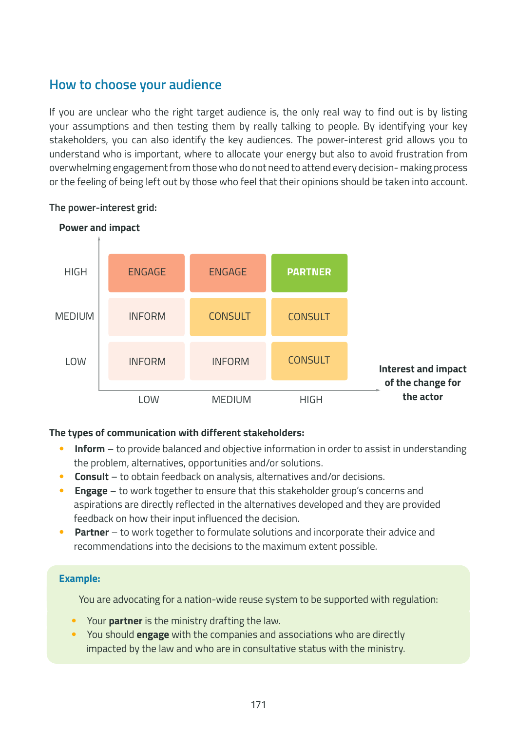## **How to choose your audience**

If you are unclear who the right target audience is, the only real way to find out is by listing your assumptions and then testing them by really talking to people. By identifying your key stakeholders, you can also identify the key audiences. The power-interest grid allows you to understand who is important, where to allocate your energy but also to avoid frustration from overwhelming engagement from those who do not need to attend every decision- making process or the feeling of being left out by those who feel that their opinions should be taken into account.



#### **The power-interest grid:**

#### **The types of communication with different stakeholders:**

- **Inform** to provide balanced and objective information in order to assist in understanding the problem, alternatives, opportunities and/or solutions.
- **Consult** to obtain feedback on analysis, alternatives and/or decisions.
- **Engage** to work together to ensure that this stakeholder group's concerns and aspirations are directly reflected in the alternatives developed and they are provided feedback on how their input influenced the decision.
- **Partner** to work together to formulate solutions and incorporate their advice and recommendations into the decisions to the maximum extent possible.

#### **Example:**

You are advocating for a nation-wide reuse system to be supported with regulation:

- Your **partner** is the ministry drafting the law.
- You should **engage** with the companies and associations who are directly impacted by the law and who are in consultative status with the ministry.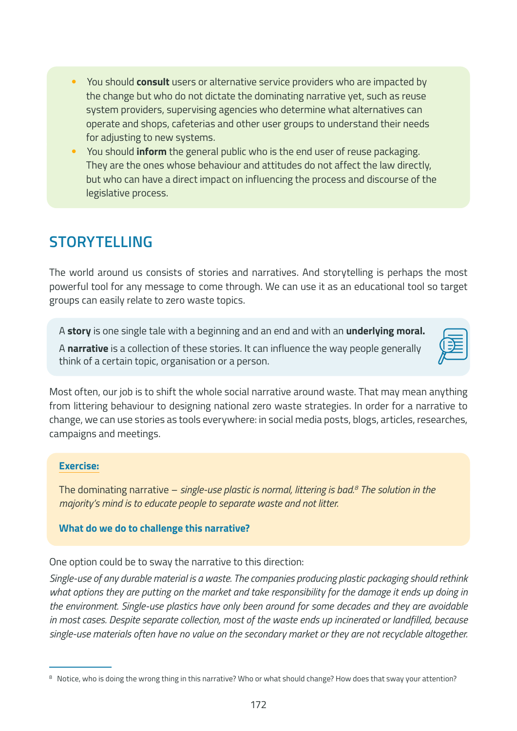- You should **consult** users or alternative service providers who are impacted by the change but who do not dictate the dominating narrative yet, such as reuse system providers, supervising agencies who determine what alternatives can operate and shops, cafeterias and other user groups to understand their needs for adjusting to new systems.
- You should **inform** the general public who is the end user of reuse packaging. They are the ones whose behaviour and attitudes do not affect the law directly, but who can have a direct impact on influencing the process and discourse of the legislative process.

## **STORYTELLING**

The world around us consists of stories and narratives. And storytelling is perhaps the most powerful tool for any message to come through. We can use it as an educational tool so target groups can easily relate to zero waste topics.

A **story** is one single tale with a beginning and an end and with an **underlying moral.**

A **narrative** is a collection of these stories. It can influence the way people generally think of a certain topic, organisation or a person.

Most often, our job is to shift the whole social narrative around waste. That may mean anything from littering behaviour to designing national zero waste strategies. In order for a narrative to change, we can use stories as tools everywhere: in social media posts, blogs, articles, researches, campaigns and meetings.

#### **Exercise:**

The dominating narrative – *single-use plastic is normal, littering is bad.8 The solution in the majority's mind is to educate people to separate waste and not litter.*

#### **What do we do to challenge this narrative?**

One option could be to sway the narrative to this direction:

*Single-use of any durable material is a waste. The companies producing plastic packaging should rethink what options they are putting on the market and take responsibility for the damage it ends up doing in the environment. Single-use plastics have only been around for some decades and they are avoidable in most cases. Despite separate collection, most of the waste ends up incinerated or landfilled, because single-use materials often have no value on the secondary market or they are not recyclable altogether.*

<sup>&</sup>lt;sup>8</sup> Notice, who is doing the wrong thing in this narrative? Who or what should change? How does that sway your attention?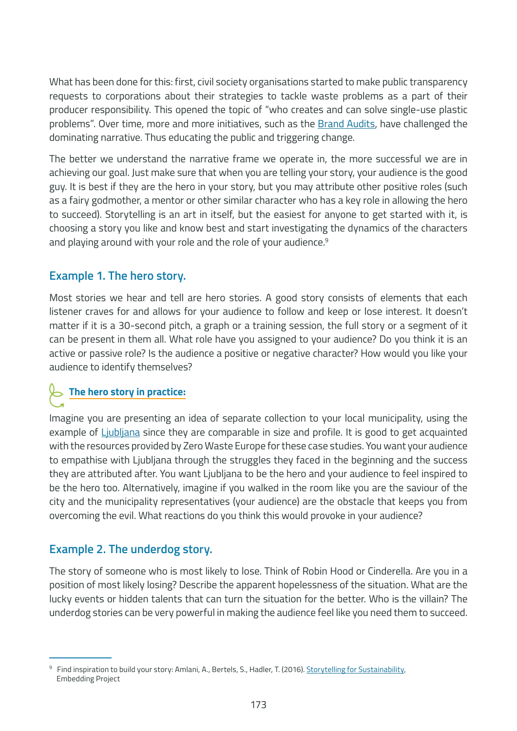What has been done for this: first, civil society organisations started to make public transparency requests to corporations about their strategies to tackle waste problems as a part of their producer responsibility. This opened the topic of "who creates and can solve single-use plastic problems". Over time, more and more initiatives, such as the [Brand Audits,](https://www.breakfreefromplastic.org/brandaudit2021/) have challenged the dominating narrative. Thus educating the public and triggering change.

The better we understand the narrative frame we operate in, the more successful we are in achieving our goal. Just make sure that when you are telling your story, your audience is the good guy. It is best if they are the hero in your story, but you may attribute other positive roles (such as a fairy godmother, a mentor or other similar character who has a key role in allowing the hero to succeed). Storytelling is an art in itself, but the easiest for anyone to get started with it, is choosing a story you like and know best and start investigating the dynamics of the characters and playing around with your role and the role of your audience.<sup>9</sup>

#### **Example 1. The hero story.**

Most stories we hear and tell are hero stories. A good story consists of elements that each listener craves for and allows for your audience to follow and keep or lose interest. It doesn't matter if it is a 30-second pitch, a graph or a training session, the full story or a segment of it can be present in them all. What role have you assigned to your audience? Do you think it is an active or passive role? Is the audience a positive or negative character? How would you like your audience to identify themselves?

## **The hero story in practice:**

Imagine you are presenting an idea of separate collection to your local municipality, using the example of [Ljubljana](https://zerowasteeurope.eu/library/the-story-of-ljubljana/) since they are comparable in size and profile. It is good to get acquainted with the resources provided by Zero Waste Europe for these case studies. You want your audience to empathise with Ljubljana through the struggles they faced in the beginning and the success they are attributed after. You want Ljubljana to be the hero and your audience to feel inspired to be the hero too. Alternatively, imagine if you walked in the room like you are the saviour of the city and the municipality representatives (your audience) are the obstacle that keeps you from overcoming the evil. What reactions do you think this would provoke in your audience?

#### **Example 2. The underdog story.**

The story of someone who is most likely to lose. Think of Robin Hood or Cinderella. Are you in a position of most likely losing? Describe the apparent hopelessness of the situation. What are the lucky events or hidden talents that can turn the situation for the better. Who is the villain? The underdog stories can be very powerful in making the audience feel like you need them to succeed.

<sup>&</sup>lt;sup>9</sup> Find inspiration to build your story: Amlani, A., Bertels, S., Hadler, T. (2016). **Storytelling for Sustainability**, Embedding Project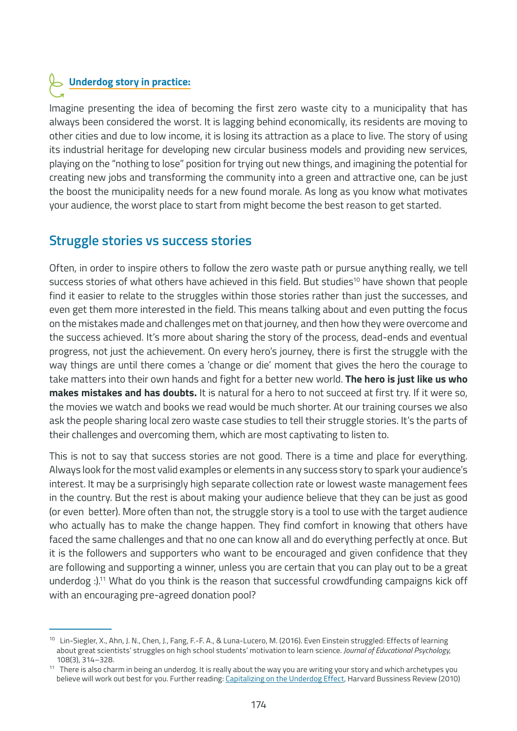## **Underdog story in practice:**

Imagine presenting the idea of becoming the first zero waste city to a municipality that has always been considered the worst. It is lagging behind economically, its residents are moving to other cities and due to low income, it is losing its attraction as a place to live. The story of using its industrial heritage for developing new circular business models and providing new services, playing on the "nothing to lose" position for trying out new things, and imagining the potential for creating new jobs and transforming the community into a green and attractive one, can be just the boost the municipality needs for a new found morale. As long as you know what motivates your audience, the worst place to start from might become the best reason to get started.

### **Struggle stories vs success stories**

Often, in order to inspire others to follow the zero waste path or pursue anything really, we tell success stories of what others have achieved in this field. But studies<sup>10</sup> have shown that people find it easier to relate to the struggles within those stories rather than just the successes, and even get them more interested in the field. This means talking about and even putting the focus on the mistakes made and challenges met on that journey, and then how they were overcome and the success achieved. It's more about sharing the story of the process, dead-ends and eventual progress, not just the achievement. On every hero's journey, there is first the struggle with the way things are until there comes a 'change or die' moment that gives the hero the courage to take matters into their own hands and fight for a better new world. **The hero is just like us who makes mistakes and has doubts.** It is natural for a hero to not succeed at first try. If it were so, the movies we watch and books we read would be much shorter. At our training courses we also ask the people sharing local zero waste case studies to tell their struggle stories. It's the parts of their challenges and overcoming them, which are most captivating to listen to.

This is not to say that success stories are not good. There is a time and place for everything. Always look for the most valid examples or elements in any success story to spark your audience's interest. It may be a surprisingly high separate collection rate or lowest waste management fees in the country. But the rest is about making your audience believe that they can be just as good (or even better). More often than not, the struggle story is a tool to use with the target audience who actually has to make the change happen. They find comfort in knowing that others have faced the same challenges and that no one can know all and do everything perfectly at once. But it is the followers and supporters who want to be encouraged and given confidence that they are following and supporting a winner, unless you are certain that you can play out to be a great underdog :).<sup>11</sup> What do you think is the reason that successful crowdfunding campaigns kick off with an encouraging pre-agreed donation pool?

<sup>&</sup>lt;sup>10</sup> Lin-Siegler, X., Ahn, J. N., Chen, J., Fang, F.-F. A., & Luna-Lucero, M. (2016). Even Einstein struggled: Effects of learning about great scientists' struggles on high school students' motivation to learn science. *Journal of Educational Psychology,* 108(3), 314–328.

<sup>&</sup>lt;sup>11</sup> There is also charm in being an underdog. It is really about the way you are writing your story and which archetypes you believe will work out best for you. Further reading: [Capitalizing on the Underdog Effect](https://hbr.org/2010/11/capitalizing-on-the-underdog-effect), Harvard Bussiness Review (2010)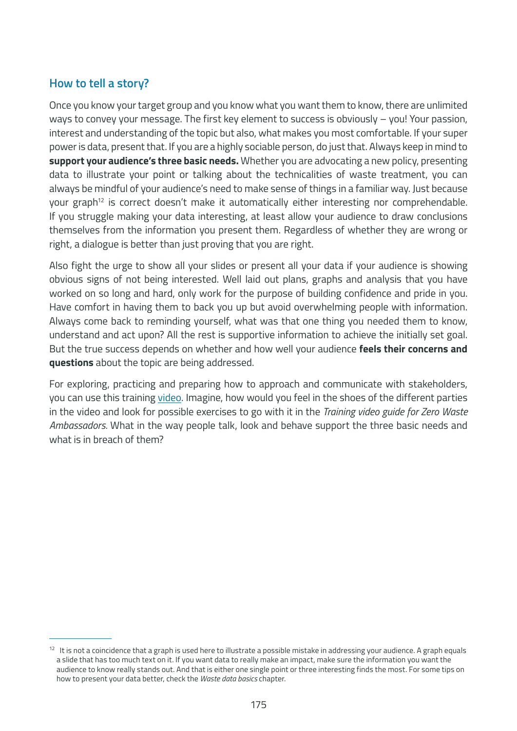#### **How to tell a story?**

Once you know your target group and you know what you want them to know, there are unlimited ways to convey your message. The first key element to success is obviously – you! Your passion, interest and understanding of the topic but also, what makes you most comfortable. If your super power is data, present that. If you are a highly sociable person, do just that. Always keep in mind to **support your audience's three basic needs.** Whether you are advocating a new policy, presenting data to illustrate your point or talking about the technicalities of waste treatment, you can always be mindful of your audience's need to make sense of things in a familiar way. Just because your graph<sup>12</sup> is correct doesn't make it automatically either interesting nor comprehendable. If you struggle making your data interesting, at least allow your audience to draw conclusions themselves from the information you present them. Regardless of whether they are wrong or right, a dialogue is better than just proving that you are right.

Also fight the urge to show all your slides or present all your data if your audience is showing obvious signs of not being interested. Well laid out plans, graphs and analysis that you have worked on so long and hard, only work for the purpose of building confidence and pride in you. Have comfort in having them to back you up but avoid overwhelming people with information. Always come back to reminding yourself, what was that one thing you needed them to know, understand and act upon? All the rest is supportive information to achieve the initially set goal. But the true success depends on whether and how well your audience **feels their concerns and questions** about the topic are being addressed.

For exploring, practicing and preparing how to approach and communicate with stakeholders, you can use this training [video](https://youtu.be/GbDA_pgdW8g)[.](https://docs.google.com/document/d/1ZJrafr1vIi_JAQsRfKo5D426scw48M_I9yXvSAUz2RA/edit) Imagine, how would you feel in the shoes of the different parties in the video and look for possible exercises to go with it in the *Training video guide for Zero Waste Ambassadors.* What in the way people talk, look and behave support the three basic needs and what is in breach of them?

 $12$  It is not a coincidence that a graph is used here to illustrate a possible mistake in addressing your audience. A graph equals a slide that has too much text on it. If you want data to really make an impact, make sure the information you want the audience to know really stands out. And that is either one single point or three interesting finds the most. For some tips on how to present your data better, check the *Waste data basics* chapter.